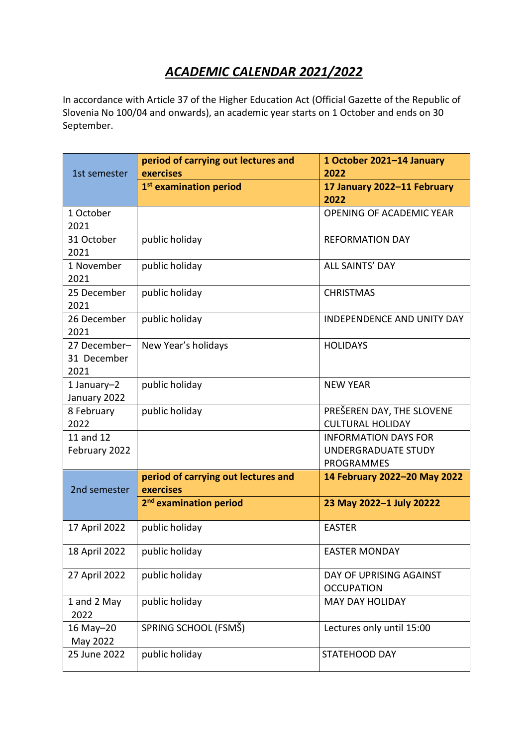# *ACADEMIC CALENDAR 2021/2022*

In accordance with Article 37 of the Higher Education Act (Official Gazette of the Republic of Slovenia No 100/04 and onwards), an academic year starts on 1 October and ends on 30 September.

| 1st semester                        | period of carrying out lectures and<br>exercises | 1 October 2021-14 January<br>2022                                |
|-------------------------------------|--------------------------------------------------|------------------------------------------------------------------|
|                                     | 1 <sup>st</sup> examination period               | 17 January 2022-11 February<br>2022                              |
| 1 October<br>2021                   |                                                  | OPENING OF ACADEMIC YEAR                                         |
| 31 October<br>2021                  | public holiday                                   | <b>REFORMATION DAY</b>                                           |
| 1 November<br>2021                  | public holiday                                   | <b>ALL SAINTS' DAY</b>                                           |
| 25 December<br>2021                 | public holiday                                   | <b>CHRISTMAS</b>                                                 |
| 26 December<br>2021                 | public holiday                                   | <b>INDEPENDENCE AND UNITY DAY</b>                                |
| 27 December-<br>31 December<br>2021 | New Year's holidays                              | <b>HOLIDAYS</b>                                                  |
| 1 January-2<br>January 2022         | public holiday                                   | <b>NEW YEAR</b>                                                  |
| 8 February<br>2022                  | public holiday                                   | PREŠEREN DAY, THE SLOVENE<br><b>CULTURAL HOLIDAY</b>             |
| 11 and 12<br>February 2022          |                                                  | <b>INFORMATION DAYS FOR</b><br>UNDERGRADUATE STUDY<br>PROGRAMMES |
| 2nd semester                        | period of carrying out lectures and<br>exercises | 14 February 2022-20 May 2022                                     |
|                                     | 2 <sup>nd</sup> examination period               | 23 May 2022-1 July 20222                                         |
| 17 April 2022                       | public holiday                                   | <b>EASTER</b>                                                    |
| 18 April 2022                       | public holiday                                   | <b>EASTER MONDAY</b>                                             |
| 27 April 2022                       | public holiday                                   | DAY OF UPRISING AGAINST<br><b>OCCUPATION</b>                     |
| 1 and 2 May<br>2022                 | public holiday                                   | <b>MAY DAY HOLIDAY</b>                                           |
| 16 May-20<br>May 2022               | SPRING SCHOOL (FSMŠ)                             | Lectures only until 15:00                                        |
| 25 June 2022                        | public holiday                                   | STATEHOOD DAY                                                    |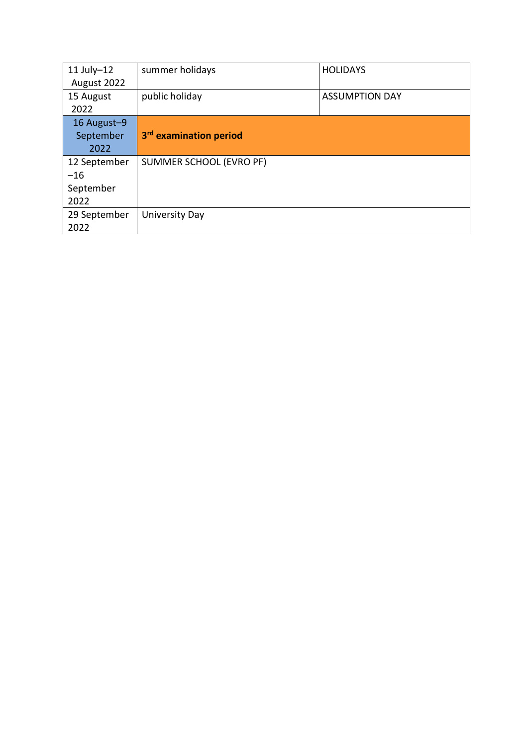| $11$ July-12<br>August 2022                | summer holidays                    | <b>HOLIDAYS</b>       |
|--------------------------------------------|------------------------------------|-----------------------|
| 15 August<br>2022                          | public holiday                     | <b>ASSUMPTION DAY</b> |
| 16 August-9<br>September<br>2022           | 3 <sup>rd</sup> examination period |                       |
| 12 September<br>$-16$<br>September<br>2022 | SUMMER SCHOOL (EVRO PF)            |                       |
| 29 September<br>2022                       | University Day                     |                       |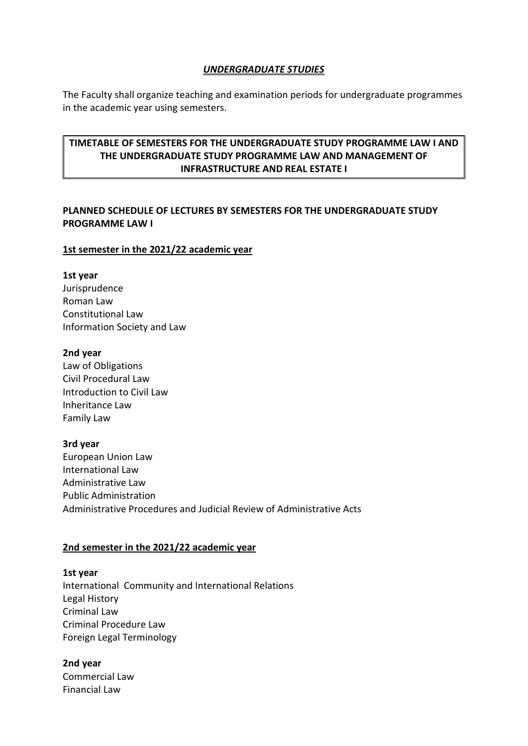#### *UNDERGRADUATE STUDIES*

The Faculty shall organize teaching and examination periods for undergraduate programmes in the academic year using semesters.

# **TIMETABLE OF SEMESTERS FOR THE UNDERGRADUATE STUDY PROGRAMME LAW I AND THE UNDERGRADUATE STUDY PROGRAMME LAW AND MANAGEMENT OF INFRASTRUCTURE AND REAL ESTATE I**

# **PLANNED SCHEDULE OF LECTURES BY SEMESTERS FOR THE UNDERGRADUATE STUDY PROGRAMME LAW I**

#### **1st semester in the 2021/22 academic year**

#### **1st year**

Jurisprudence Roman Law Constitutional Law Information Society and Law

#### **2nd year**

Law of Obligations Civil Procedural Law Introduction to Civil Law Inheritance Law Family Law

#### **3rd year**

European Union Law International Law Administrative Law Public Administration Administrative Procedures and Judicial Review of Administrative Acts

#### **2nd semester in the 2021/22 academic year**

# **1st year** International Community and International Relations Legal History Criminal Law Criminal Procedure Law Foreign Legal Terminology

#### **2nd year**

Commercial Law Financial Law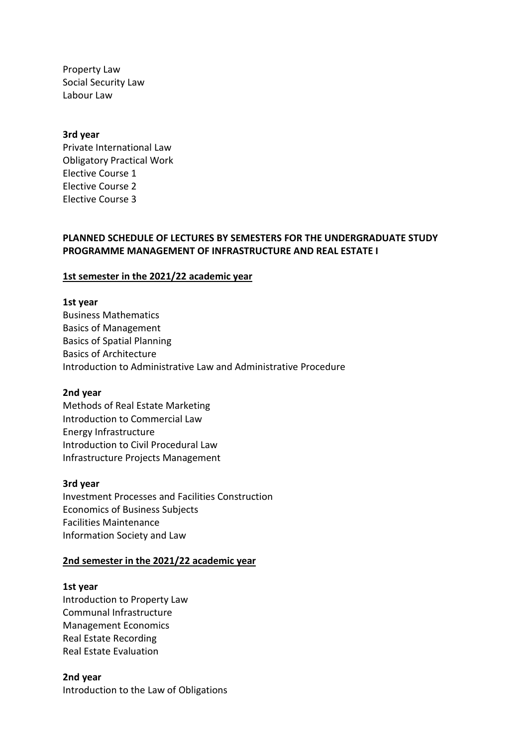Property Law Social Security Law Labour Law

#### **3rd year**

Private International Law Obligatory Practical Work Elective Course 1 Elective Course 2 Elective Course 3

#### **PLANNED SCHEDULE OF LECTURES BY SEMESTERS FOR THE UNDERGRADUATE STUDY PROGRAMME MANAGEMENT OF INFRASTRUCTURE AND REAL ESTATE I**

#### **1st semester in the 2021/22 academic year**

#### **1st year**

Business Mathematics Basics of Management Basics of Spatial Planning Basics of Architecture Introduction to Administrative Law and Administrative Procedure

#### **2nd year**

Methods of Real Estate Marketing Introduction to Commercial Law Energy Infrastructure Introduction to Civil Procedural Law Infrastructure Projects Management

#### **3rd year**

Investment Processes and Facilities Construction Economics of Business Subjects Facilities Maintenance Information Society and Law

#### **2nd semester in the 2021/22 academic year**

#### **1st year**

Introduction to Property Law Communal Infrastructure Management Economics Real Estate Recording Real Estate Evaluation

**2nd year** Introduction to the Law of Obligations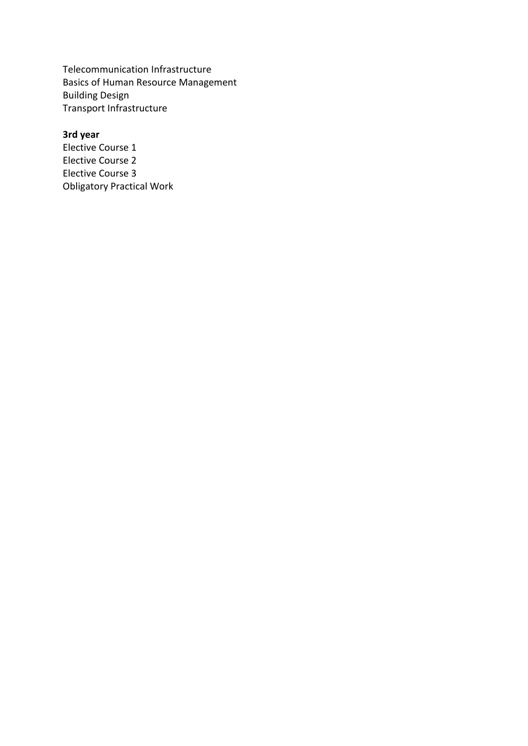Telecommunication Infrastructure Basics of Human Resource Management Building Design Transport Infrastructure

# **3rd year**

Elective Course 1 Elective Course 2 Elective Course 3 Obligatory Practical Work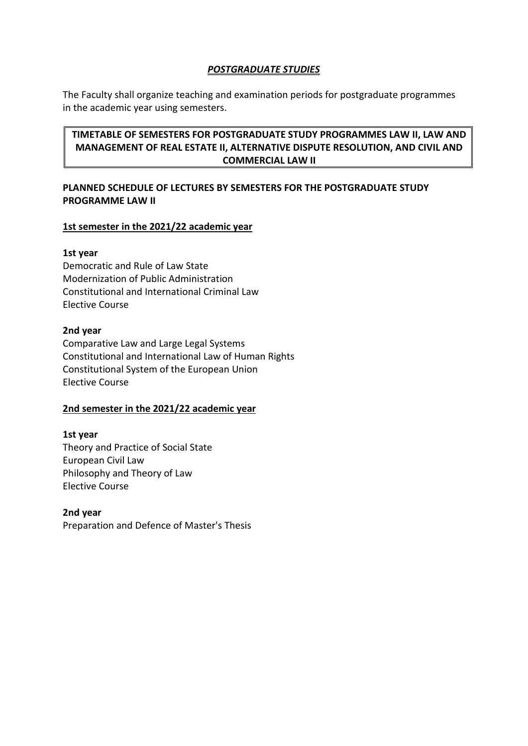### *POSTGRADUATE STUDIES*

The Faculty shall organize teaching and examination periods for postgraduate programmes in the academic year using semesters.

# **TIMETABLE OF SEMESTERS FOR POSTGRADUATE STUDY PROGRAMMES LAW II, LAW AND MANAGEMENT OF REAL ESTATE II, ALTERNATIVE DISPUTE RESOLUTION, AND CIVIL AND COMMERCIAL LAW II**

# **PLANNED SCHEDULE OF LECTURES BY SEMESTERS FOR THE POSTGRADUATE STUDY PROGRAMME LAW II**

### **1st semester in the 2021/22 academic year**

#### **1st year**

Democratic and Rule of Law State Modernization of Public Administration Constitutional and International Criminal Law Elective Course

### **2nd year**

Comparative Law and Large Legal Systems Constitutional and International Law of Human Rights Constitutional System of the European Union Elective Course

# **2nd semester in the 2021/22 academic year**

# **1st year** Theory and Practice of Social State European Civil Law Philosophy and Theory of Law Elective Course

#### **2nd year** Preparation and Defence of Master's Thesis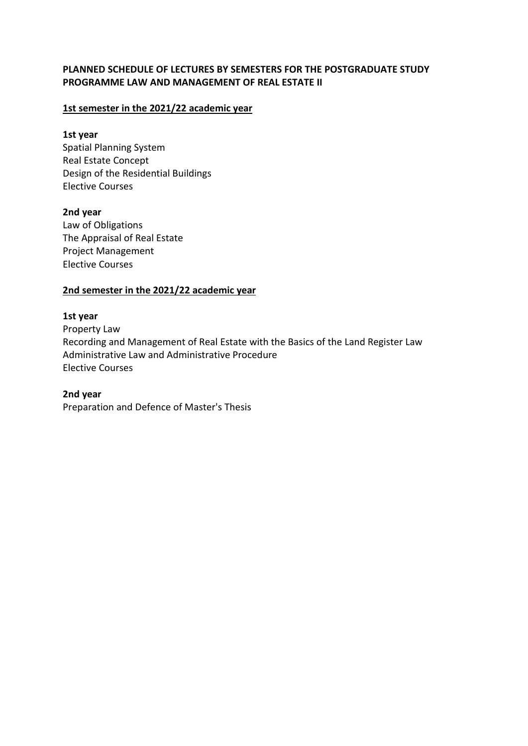### **PLANNED SCHEDULE OF LECTURES BY SEMESTERS FOR THE POSTGRADUATE STUDY PROGRAMME LAW AND MANAGEMENT OF REAL ESTATE II**

### **1st semester in the 2021/22 academic year**

#### **1st year**

Spatial Planning System Real Estate Concept Design of the Residential Buildings Elective Courses

#### **2nd year**

Law of Obligations The Appraisal of Real Estate Project Management Elective Courses

#### **2nd semester in the 2021/22 academic year**

#### **1st year**

Property Law Recording and Management of Real Estate with the Basics of the Land Register Law Administrative Law and Administrative Procedure Elective Courses

### **2nd year**

Preparation and Defence of Master's Thesis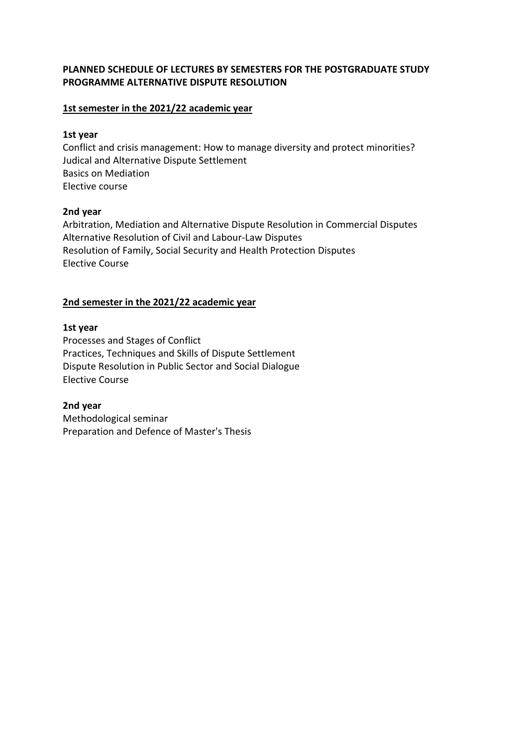### **PLANNED SCHEDULE OF LECTURES BY SEMESTERS FOR THE POSTGRADUATE STUDY PROGRAMME ALTERNATIVE DISPUTE RESOLUTION**

#### **1st semester in the 2021/22 academic year**

#### **1st year**

Conflict and crisis management: How to manage diversity and protect minorities? Judical and Alternative Dispute Settlement Basics on Mediation Elective course

### **2nd year**

Arbitration, Mediation and Alternative Dispute Resolution in Commercial Disputes Alternative Resolution of Civil and Labour-Law Disputes Resolution of Family, Social Security and Health Protection Disputes Elective Course

# **2nd semester in the 2021/22 academic year**

### **1st year**

Processes and Stages of Conflict Practices, Techniques and Skills of Dispute Settlement Dispute Resolution in Public Sector and Social Dialogue Elective Course

**2nd year** Methodological seminar Preparation and Defence of Master's Thesis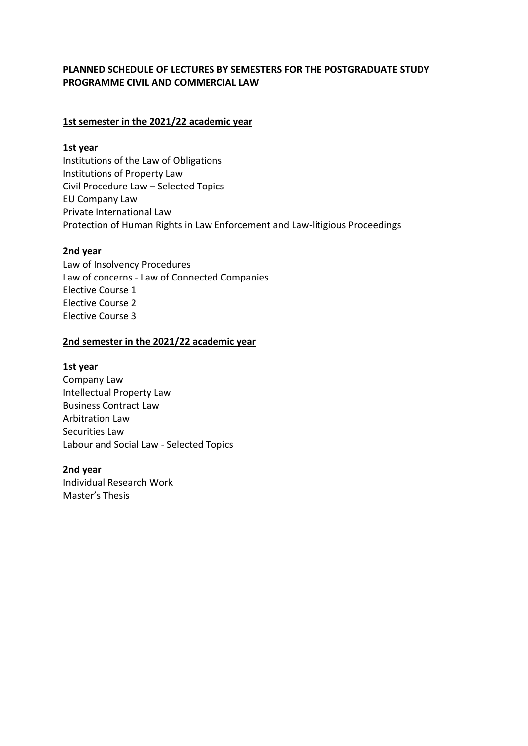# **PLANNED SCHEDULE OF LECTURES BY SEMESTERS FOR THE POSTGRADUATE STUDY PROGRAMME CIVIL AND COMMERCIAL LAW**

### **1st semester in the 2021/22 academic year**

#### **1st year**

Institutions of the Law of Obligations Institutions of Property Law Civil Procedure Law – Selected Topics EU Company Law Private International Law Protection of Human Rights in Law Enforcement and Law-litigious Proceedings

#### **2nd year**

Law of Insolvency Procedures Law of concerns - Law of Connected Companies Elective Course 1 Elective Course 2 Elective Course 3

### **2nd semester in the 2021/22 academic year**

#### **1st year**

Company Law Intellectual Property Law Business Contract Law Arbitration Law Securities Law Labour and Social Law - Selected Topics

#### **2nd year**

Individual Research Work Master's Thesis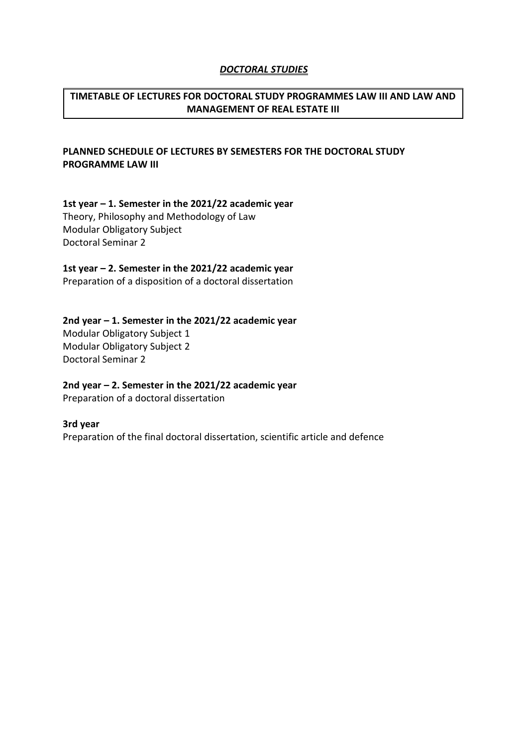#### *DOCTORAL STUDIES*

# **TIMETABLE OF LECTURES FOR DOCTORAL STUDY PROGRAMMES LAW III AND LAW AND MANAGEMENT OF REAL ESTATE III**

# **PLANNED SCHEDULE OF LECTURES BY SEMESTERS FOR THE DOCTORAL STUDY PROGRAMME LAW III**

**1st year – 1. Semester in the 2021/22 academic year** Theory, Philosophy and Methodology of Law Modular Obligatory Subject Doctoral Seminar 2

**1st year – 2. Semester in the 2021/22 academic year**

Preparation of a disposition of a doctoral dissertation

# **2nd year – 1. Semester in the 2021/22 academic year**

Modular Obligatory Subject 1 Modular Obligatory Subject 2 Doctoral Seminar 2

**2nd year – 2. Semester in the 2021/22 academic year**

Preparation of a doctoral dissertation

#### **3rd year**

Preparation of the final doctoral dissertation, scientific article and defence